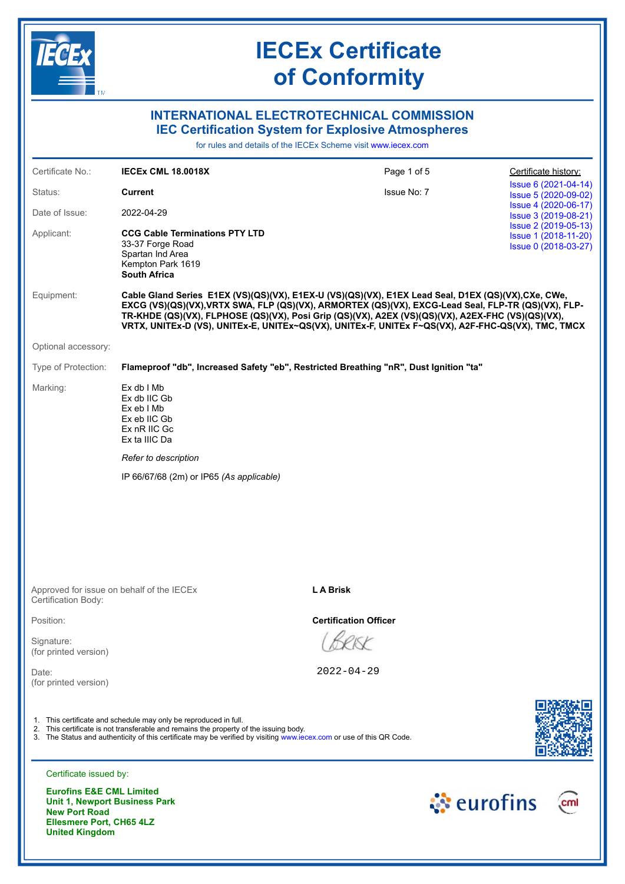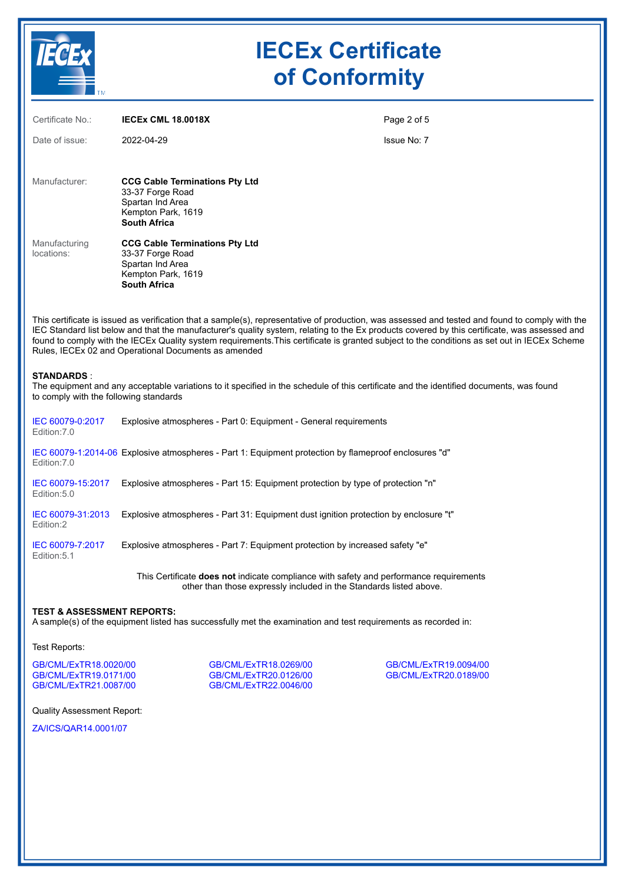

| Certificate No.:            | <b>IECEX CML 18.0018X</b>                                                                                                  | Page 2 of 5 |
|-----------------------------|----------------------------------------------------------------------------------------------------------------------------|-------------|
| Date of issue:              | 2022-04-29                                                                                                                 | Issue No: 7 |
| Manufacturer:               | <b>CCG Cable Terminations Pty Ltd</b><br>33-37 Forge Road<br>Spartan Ind Area<br>Kempton Park, 1619<br><b>South Africa</b> |             |
| Manufacturing<br>locations: | <b>CCG Cable Terminations Pty Ltd</b><br>33-37 Forge Road<br>Spartan Ind Area<br>Kempton Park, 1619<br><b>South Africa</b> |             |

This certificate is issued as verification that a sample(s), representative of production, was assessed and tested and found to comply with the IEC Standard list below and that the manufacturer's quality system, relating to the Ex products covered by this certificate, was assessed and found to comply with the IECEx Quality system requirements.This certificate is granted subject to the conditions as set out in IECEx Scheme Rules, IECEx 02 and Operational Documents as amended

### **STANDARDS** :

The equipment and any acceptable variations to it specified in the schedule of this certificate and the identified documents, was found to comply with the following standards

| IEC 60079-0:2017<br>Edition: 7.0  | Explosive atmospheres - Part 0: Equipment - General requirements                                      |
|-----------------------------------|-------------------------------------------------------------------------------------------------------|
| Edition: 7.0                      | IEC 60079-1:2014-06 Explosive atmospheres - Part 1: Equipment protection by flameproof enclosures "d" |
| IEC 60079-15:2017<br>Edition: 5.0 | Explosive atmospheres - Part 15: Equipment protection by type of protection "n"                       |
| IEC 60079-31:2013<br>Edition:2    | Explosive atmospheres - Part 31: Equipment dust ignition protection by enclosure "t"                  |
| IEC 60079-7:2017<br>Edition: 5.1  | Explosive atmospheres - Part 7: Equipment protection by increased safety "e"                          |

This Certificate **does not** indicate compliance with safety and performance requirements other than those expressly included in the Standards listed above.

### **TEST & ASSESSMENT REPORTS:**

A sample(s) of the equipment listed has successfully met the examination and test requirements as recorded in:

#### Test Reports:

[GB/CML/ExTR18.0020/00](https://www.iecex-certs.com/#/deliverables/REPORT/21398/view) [GB/CML/ExTR18.0269/00](https://www.iecex-certs.com/#/deliverables/REPORT/21736/view) [GB/CML/ExTR19.0094/00](https://www.iecex-certs.com/#/deliverables/REPORT/21564/view) [GB/CML/ExTR19.0171/00](https://www.iecex-certs.com/#/deliverables/REPORT/21828/view) [GB/CML/ExTR20.0126/00](https://www.iecex-certs.com/#/deliverables/REPORT/65810/view) [GB/CML/ExTR20.0189/00](https://www.iecex-certs.com/#/deliverables/REPORT/67729/view)

[GB/CML/ExTR22.0046/00](https://www.iecex-certs.com/#/deliverables/REPORT/81804/view)

Quality Assessment Report:

[ZA/ICS/QAR14.0001/07](https://www.iecex-certs.com/#/deliverables/REPORT/80281/view)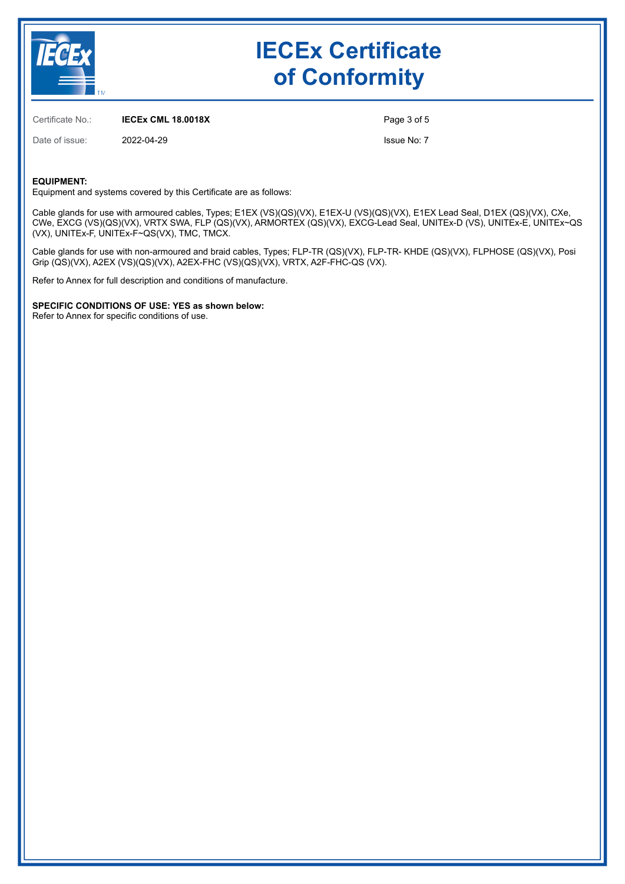

Certificate No.: **IECEx CML 18.0018X**

Date of issue: 2022-04-29

Page 3 of 5

Issue No: 7

### **EQUIPMENT:**

Equipment and systems covered by this Certificate are as follows:

Cable glands for use with armoured cables, Types; E1EX (VS)(QS)(VX), E1EX-U (VS)(QS)(VX), E1EX Lead Seal, D1EX (QS)(VX), CXe, CWe, EXCG (VS)(QS)(VX), VRTX SWA, FLP (QS)(VX), ARMORTEX (QS)(VX), EXCG-Lead Seal, UNITEx-D (VS), UNITEx-E, UNITEx~QS (VX), UNITEx-F, UNITEx-F~QS(VX), TMC, TMCX.

Cable glands for use with non-armoured and braid cables, Types; FLP-TR (QS)(VX), FLP-TR- KHDE (QS)(VX), FLPHOSE (QS)(VX), Posi Grip (QS)(VX), A2EX (VS)(QS)(VX), A2EX-FHC (VS)(QS)(VX), VRTX, A2F-FHC-QS (VX).

Refer to Annex for full description and conditions of manufacture.

**SPECIFIC CONDITIONS OF USE: YES as shown below:**

Refer to Annex for specific conditions of use.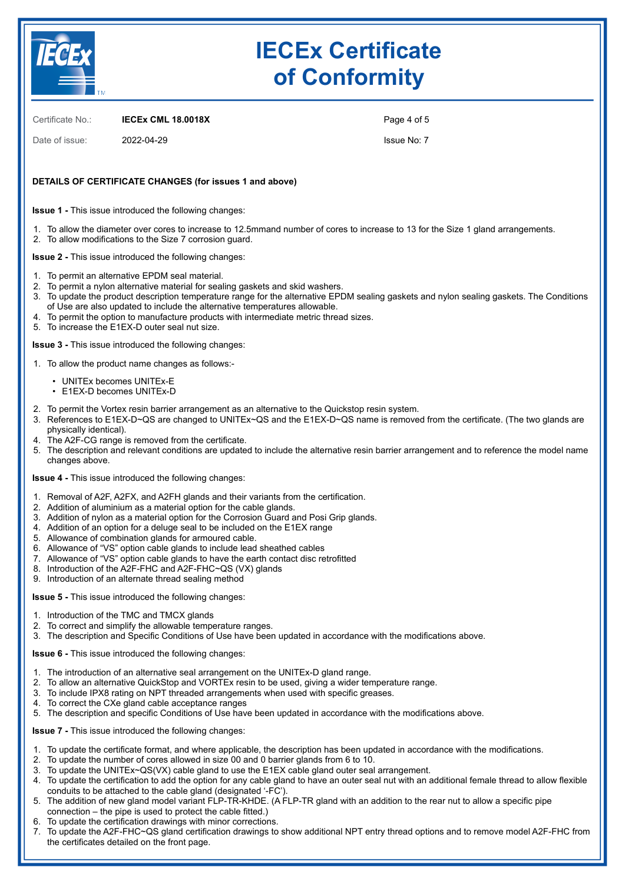

Certificate No.: **IECEx CML 18.0018X**

Date of issue: 2022-04-29

Page 4 of 5

Issue No: 7

### **DETAILS OF CERTIFICATE CHANGES (for issues 1 and above)**

**Issue 1 -** This issue introduced the following changes:

1. To allow the diameter over cores to increase to 12.5mmand number of cores to increase to 13 for the Size 1 gland arrangements. 2. To allow modifications to the Size 7 corrosion guard.

**Issue 2 -** This issue introduced the following changes:

- 1. To permit an alternative EPDM seal material.
- 2. To permit a nylon alternative material for sealing gaskets and skid washers.
- 3. To update the product description temperature range for the alternative EPDM sealing gaskets and nylon sealing gaskets. The Conditions of Use are also updated to include the alternative temperatures allowable.
- 4. To permit the option to manufacture products with intermediate metric thread sizes.
- 5. To increase the E1EX-D outer seal nut size.

**Issue 3 -** This issue introduced the following changes:

- 1. To allow the product name changes as follows:-
	- UNITEx becomes UNITEx-E
	- E1EX-D becomes UNITEx-D
- 2. To permit the Vortex resin barrier arrangement as an alternative to the Quickstop resin system.
- 3. References to E1EX-D~QS are changed to UNITEx~QS and the E1EX-D~QS name is removed from the certificate. (The two glands are physically identical).
- 4. The A2F-CG range is removed from the certificate.
- 5. The description and relevant conditions are updated to include the alternative resin barrier arrangement and to reference the model name changes above.

**Issue 4 -** This issue introduced the following changes:

- 1. Removal of A2F, A2FX, and A2FH glands and their variants from the certification.
- 2. Addition of aluminium as a material option for the cable glands.
- 3. Addition of nylon as a material option for the Corrosion Guard and Posi Grip glands.
- 4. Addition of an option for a deluge seal to be included on the E1EX range
- 5. Allowance of combination glands for armoured cable.
- 6. Allowance of "VS" option cable glands to include lead sheathed cables
- 7. Allowance of "VS" option cable glands to have the earth contact disc retrofitted
- 8. Introduction of the A2F-FHC and A2F-FHC~QS (VX) glands
- 9. Introduction of an alternate thread sealing method

### **Issue 5 -** This issue introduced the following changes:

- 1. Introduction of the TMC and TMCX glands
- 2. To correct and simplify the allowable temperature ranges.
- 3. The description and Specific Conditions of Use have been updated in accordance with the modifications above.

**Issue 6 -** This issue introduced the following changes:

- 1. The introduction of an alternative seal arrangement on the UNITEx-D gland range.
- 2. To allow an alternative QuickStop and VORTEx resin to be used, giving a wider temperature range.
- 3. To include IPX8 rating on NPT threaded arrangements when used with specific greases.
- 4. To correct the CXe gland cable acceptance ranges
- 5. The description and specific Conditions of Use have been updated in accordance with the modifications above.

**Issue 7 -** This issue introduced the following changes:

- 1. To update the certificate format, and where applicable, the description has been updated in accordance with the modifications.
- 2. To update the number of cores allowed in size 00 and 0 barrier glands from 6 to 10.
- 3. To update the UNITEx~QS(VX) cable gland to use the E1EX cable gland outer seal arrangement.
- 4. To update the certification to add the option for any cable gland to have an outer seal nut with an additional female thread to allow flexible conduits to be attached to the cable gland (designated '-FC').
- 5. The addition of new gland model variant FLP-TR-KHDE. (A FLP-TR gland with an addition to the rear nut to allow a specific pipe connection – the pipe is used to protect the cable fitted.)
- 6. To update the certification drawings with minor corrections.
- 7. To update the A2F-FHC~QS gland certification drawings to show additional NPT entry thread options and to remove model A2F-FHC from the certificates detailed on the front page.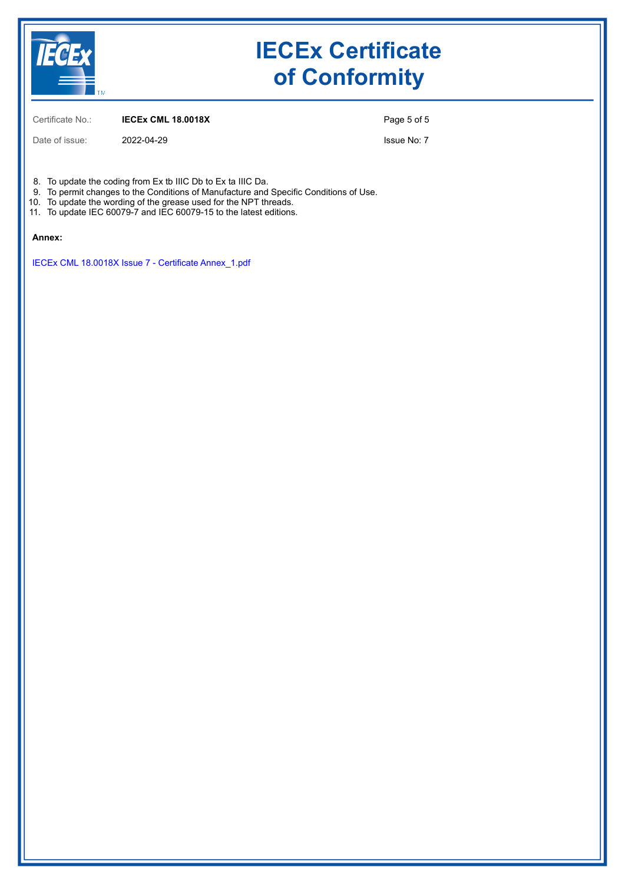

Certificate No.: **IECEx CML 18.0018X**

Page 5 of 5

Date of issue: 2022-04-29

Issue No: 7

8. To update the coding from Ex tb IIIC Db to Ex ta IIIC Da.

- 9. To permit changes to the Conditions of Manufacture and Specific Conditions of Use.
- 10. To update the wording of the grease used for the NPT threads.
- 11. To update IEC 60079-7 and IEC 60079-15 to the latest editions.

#### **Annex:**

[IECEx CML 18.0018X Issue 7 - Certificate Annex\\_1.pdf](https://www.iecex-certs.com/#/deliverables/CERT/59740/view)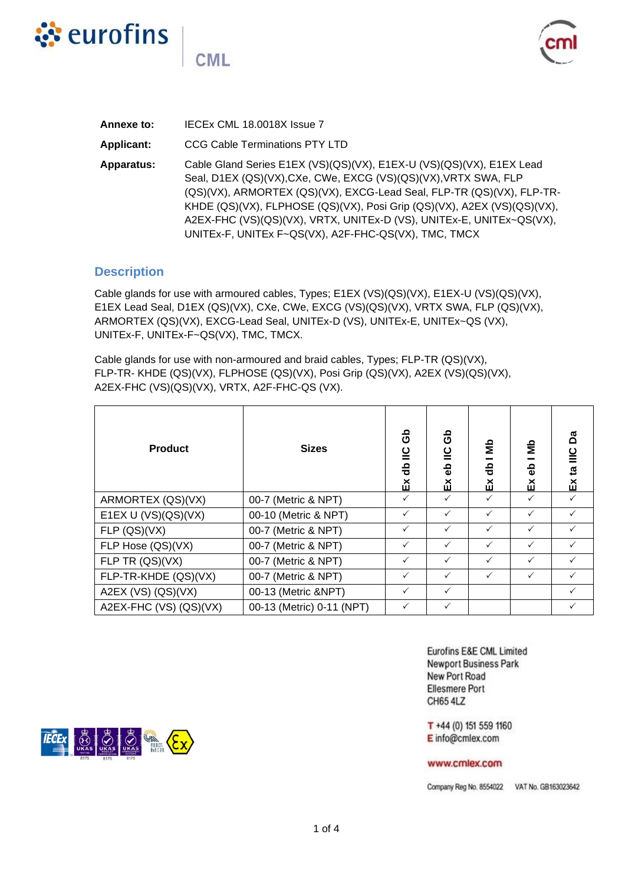

**CML** 



| Annexe to:        | IECEX CML 18.0018X Issue 7                                                                                                                                                                                                                                                                                                                                                                                                  |
|-------------------|-----------------------------------------------------------------------------------------------------------------------------------------------------------------------------------------------------------------------------------------------------------------------------------------------------------------------------------------------------------------------------------------------------------------------------|
| <b>Applicant:</b> | <b>CCG Cable Terminations PTY LTD</b>                                                                                                                                                                                                                                                                                                                                                                                       |
| Apparatus:        | Cable Gland Series E1EX (VS)(QS)(VX), E1EX-U (VS)(QS)(VX), E1EX Lead<br>Seal, D1EX (QS)(VX), CXe, CWe, EXCG (VS)(QS)(VX), VRTX SWA, FLP<br>(QS)(VX), ARMORTEX (QS)(VX), EXCG-Lead Seal, FLP-TR (QS)(VX), FLP-TR-<br>KHDE (QS)(VX), FLPHOSE (QS)(VX), Posi Grip (QS)(VX), A2EX (VS)(QS)(VX),<br>A2EX-FHC (VS)(QS)(VX), VRTX, UNITEx-D (VS), UNITEx-E, UNITEx~QS(VX),<br>UNITEx-F, UNITEx F~QS(VX), A2F-FHC-QS(VX), TMC, TMCX |

## **Description**

Cable glands for use with armoured cables, Types; E1EX (VS)(QS)(VX), E1EX-U (VS)(QS)(VX), E1EX Lead Seal, D1EX (QS)(VX), CXe, CWe, EXCG (VS)(QS)(VX), VRTX SWA, FLP (QS)(VX), ARMORTEX (QS)(VX), EXCG-Lead Seal, UNITEx-D (VS), UNITEx-E, UNITEx~QS (VX), UNITEx-F, UNITEx-F~QS(VX), TMC, TMCX.

Cable glands for use with non-armoured and braid cables, Types; FLP-TR (QS)(VX), FLP-TR- KHDE (QS)(VX), FLPHOSE (QS)(VX), Posi Grip (QS)(VX), A2EX (VS)(QS)(VX), A2EX-FHC (VS)(QS)(VX), VRTX, A2F-FHC-QS (VX).

| <b>Product</b>         | <b>Sizes</b>              | යි<br>db IIC<br>ă | ලි<br>$\overline{\mathsf{c}}$<br>응<br>ΔŇ | å<br>응<br>띳  | 을<br>옮<br>ň  | යී<br>$\frac{c}{1}$<br>$\overline{a}$<br>띳 |
|------------------------|---------------------------|-------------------|------------------------------------------|--------------|--------------|--------------------------------------------|
| ARMORTEX (QS)(VX)      | 00-7 (Metric & NPT)       | ✓                 | $\checkmark$                             | $\checkmark$ | $\checkmark$ |                                            |
| E1EX U (VS)(QS)(VX)    | 00-10 (Metric & NPT)      | ✓                 | $\checkmark$                             | $\checkmark$ | $\checkmark$ | $\checkmark$                               |
| FLP (QS)(VX)           | 00-7 (Metric & NPT)       | ✓                 | $\checkmark$                             | $\checkmark$ | $\checkmark$ |                                            |
| FLP Hose (QS)(VX)      | 00-7 (Metric & NPT)       | ✓                 | ✓                                        | ✓            | $\checkmark$ |                                            |
| FLP TR (QS)(VX)        | 00-7 (Metric & NPT)       | ✓                 | ✓                                        | ✓            | $\checkmark$ |                                            |
| FLP-TR-KHDE (QS)(VX)   | 00-7 (Metric & NPT)       | $\checkmark$      | $\checkmark$                             | $\checkmark$ | $\checkmark$ | $\checkmark$                               |
| A2EX (VS) (QS)(VX)     | 00-13 (Metric &NPT)       | ✓                 | $\checkmark$                             |              |              | $\checkmark$                               |
| A2EX-FHC (VS) (QS)(VX) | 00-13 (Metric) 0-11 (NPT) | ✓                 | ✓                                        |              |              |                                            |

Eurofins E&E CML Limited **Newport Business Park** New Port Road **Ellesmere Port** CH65 4LZ

T +44 (0) 151 559 1160 E info@cmlex.com

### www.cmlex.com

Company Reg No. 8554022 VAT No. GB163023642

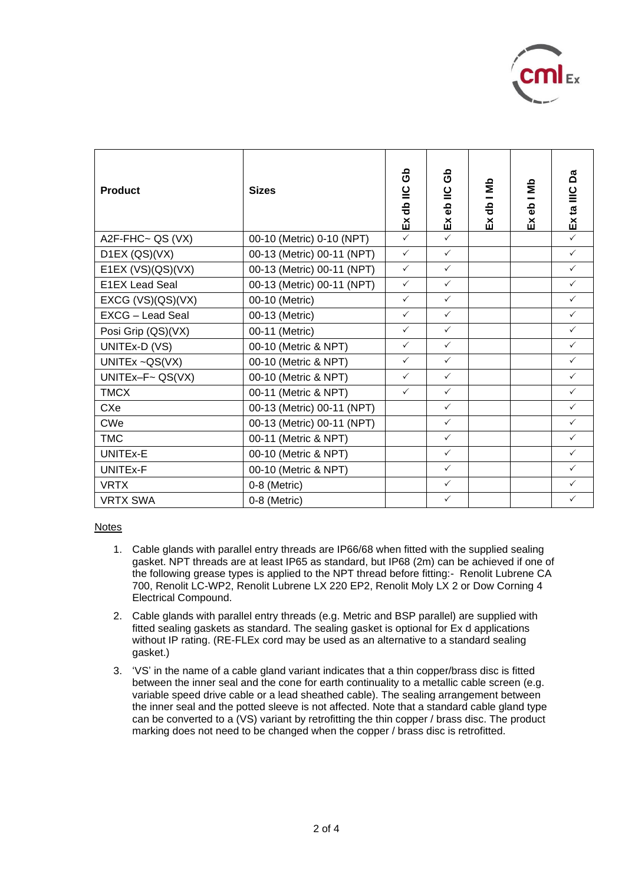

| <b>Product</b>        | <b>Sizes</b>               | ය<br>ර<br>Ex db IIC | සි<br>$\leq$<br>န္မ<br>ă | db I Mb<br>ă | $\frac{1}{2}$<br>ęр<br>ă | å<br>Ex ta IIIC |
|-----------------------|----------------------------|---------------------|--------------------------|--------------|--------------------------|-----------------|
| A2F-FHC~ QS (VX)      | 00-10 (Metric) 0-10 (NPT)  | $\checkmark$        | $\checkmark$             |              |                          | $\checkmark$    |
| D1EX (QS)(VX)         | 00-13 (Metric) 00-11 (NPT) | $\checkmark$        | $\checkmark$             |              |                          | $\checkmark$    |
| E1EX $(VS)(QS)(VX)$   | 00-13 (Metric) 00-11 (NPT) | $\checkmark$        | $\checkmark$             |              |                          | $\checkmark$    |
| <b>E1EX Lead Seal</b> | 00-13 (Metric) 00-11 (NPT) | $\checkmark$        | $\checkmark$             |              |                          | $\checkmark$    |
| EXCG (VS)(QS)(VX)     | 00-10 (Metric)             | $\checkmark$        | $\checkmark$             |              |                          | $\checkmark$    |
| EXCG - Lead Seal      | 00-13 (Metric)             | $\checkmark$        | $\checkmark$             |              |                          | $\checkmark$    |
| Posi Grip (QS)(VX)    | 00-11 (Metric)             | $\checkmark$        | $\checkmark$             |              |                          | $\checkmark$    |
| UNITEx-D (VS)         | 00-10 (Metric & NPT)       | $\checkmark$        | $\checkmark$             |              |                          | $\checkmark$    |
| UNITEx ~QS(VX)        | 00-10 (Metric & NPT)       | $\checkmark$        | $\checkmark$             |              |                          | $\checkmark$    |
| UNITEx-F~ $QS(VX)$    | 00-10 (Metric & NPT)       | $\checkmark$        | $\checkmark$             |              |                          | $\checkmark$    |
| <b>TMCX</b>           | 00-11 (Metric & NPT)       | $\checkmark$        | $\checkmark$             |              |                          | $\checkmark$    |
| CXe                   | 00-13 (Metric) 00-11 (NPT) |                     | $\checkmark$             |              |                          | $\checkmark$    |
| <b>CWe</b>            | 00-13 (Metric) 00-11 (NPT) |                     | $\checkmark$             |              |                          | $\checkmark$    |
| <b>TMC</b>            | 00-11 (Metric & NPT)       |                     | $\checkmark$             |              |                          | $\checkmark$    |
| UNITEx-E              | 00-10 (Metric & NPT)       |                     | $\checkmark$             |              |                          | $\checkmark$    |
| UNITEx-F              | 00-10 (Metric & NPT)       |                     | $\checkmark$             |              |                          | $\checkmark$    |
| <b>VRTX</b>           | 0-8 (Metric)               |                     | $\checkmark$             |              |                          | $\checkmark$    |
| <b>VRTX SWA</b>       | 0-8 (Metric)               |                     | $\checkmark$             |              |                          | $\checkmark$    |

Notes

- 1. Cable glands with parallel entry threads are IP66/68 when fitted with the supplied sealing gasket. NPT threads are at least IP65 as standard, but IP68 (2m) can be achieved if one of the following grease types is applied to the NPT thread before fitting:- Renolit Lubrene CA 700, Renolit LC-WP2, Renolit Lubrene LX 220 EP2, Renolit Moly LX 2 or Dow Corning 4 Electrical Compound.
- 2. Cable glands with parallel entry threads (e.g. Metric and BSP parallel) are supplied with fitted sealing gaskets as standard. The sealing gasket is optional for Ex d applications without IP rating. (RE-FLEx cord may be used as an alternative to a standard sealing gasket.)
- 3. 'VS' in the name of a cable gland variant indicates that a thin copper/brass disc is fitted between the inner seal and the cone for earth continuality to a metallic cable screen (e.g. variable speed drive cable or a lead sheathed cable). The sealing arrangement between the inner seal and the potted sleeve is not affected. Note that a standard cable gland type can be converted to a (VS) variant by retrofitting the thin copper / brass disc. The product marking does not need to be changed when the copper / brass disc is retrofitted.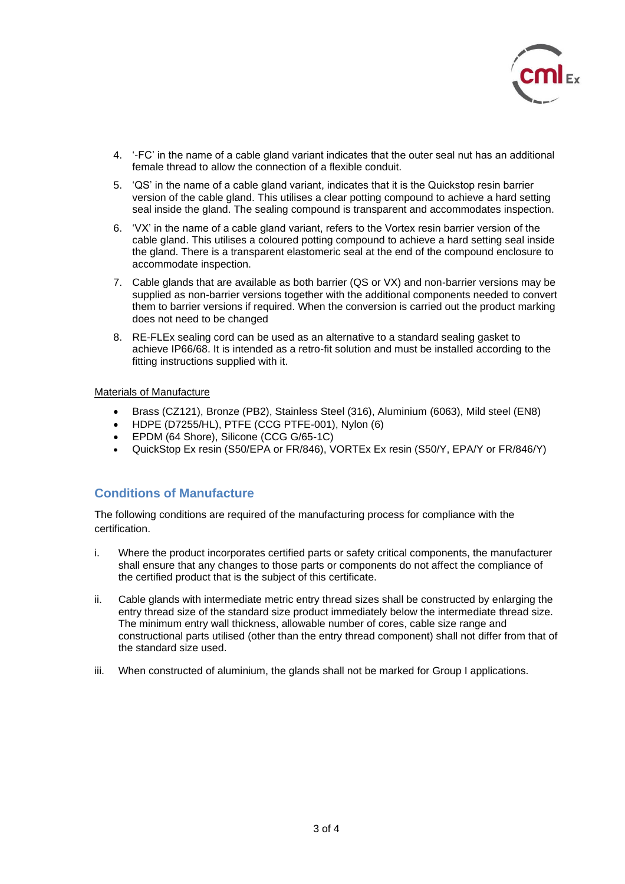

- 4. '-FC' in the name of a cable gland variant indicates that the outer seal nut has an additional female thread to allow the connection of a flexible conduit.
- 5. 'QS' in the name of a cable gland variant, indicates that it is the Quickstop resin barrier version of the cable gland. This utilises a clear potting compound to achieve a hard setting seal inside the gland. The sealing compound is transparent and accommodates inspection.
- 6. 'VX' in the name of a cable gland variant, refers to the Vortex resin barrier version of the cable gland. This utilises a coloured potting compound to achieve a hard setting seal inside the gland. There is a transparent elastomeric seal at the end of the compound enclosure to accommodate inspection.
- 7. Cable glands that are available as both barrier (QS or VX) and non-barrier versions may be supplied as non-barrier versions together with the additional components needed to convert them to barrier versions if required. When the conversion is carried out the product marking does not need to be changed
- 8. RE-FLEx sealing cord can be used as an alternative to a standard sealing gasket to achieve IP66/68. It is intended as a retro-fit solution and must be installed according to the fitting instructions supplied with it.

Materials of Manufacture

- Brass (CZ121), Bronze (PB2), Stainless Steel (316), Aluminium (6063), Mild steel (EN8)
- HDPE (D7255/HL), PTFE (CCG PTFE-001), Nylon (6)
- EPDM (64 Shore), Silicone (CCG G/65-1C)
- QuickStop Ex resin (S50/EPA or FR/846), VORTEx Ex resin (S50/Y, EPA/Y or FR/846/Y)

## **Conditions of Manufacture**

The following conditions are required of the manufacturing process for compliance with the certification.

- i. Where the product incorporates certified parts or safety critical components, the manufacturer shall ensure that any changes to those parts or components do not affect the compliance of the certified product that is the subject of this certificate.
- ii. Cable glands with intermediate metric entry thread sizes shall be constructed by enlarging the entry thread size of the standard size product immediately below the intermediate thread size. The minimum entry wall thickness, allowable number of cores, cable size range and constructional parts utilised (other than the entry thread component) shall not differ from that of the standard size used.
- iii. When constructed of aluminium, the glands shall not be marked for Group I applications.